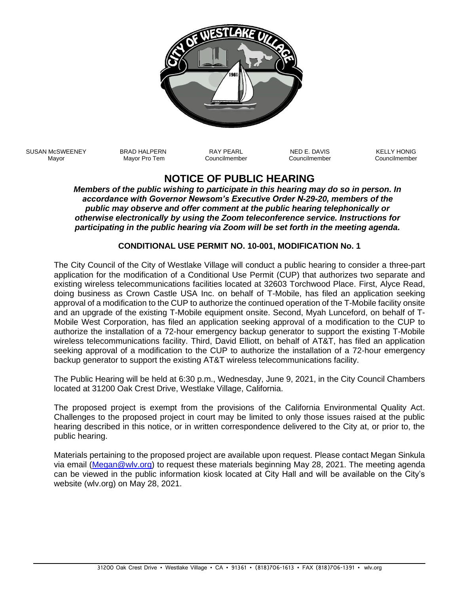

SUSAN McSWEENEY Mayor

BRAD HALPERN Mayor Pro Tem

RAY PEARL Councilmember

NED E. DAVIS Councilmember KELLY HONIG Councilmember

## **NOTICE OF PUBLIC HEARING**

*Members of the public wishing to participate in this hearing may do so in person. In accordance with Governor Newsom's Executive Order N-29-20, members of the public may observe and offer comment at the public hearing telephonically or otherwise electronically by using the Zoom teleconference service. Instructions for participating in the public hearing via Zoom will be set forth in the meeting agenda.*

## **CONDITIONAL USE PERMIT NO. 10-001, MODIFICATION No. 1**

The City Council of the City of Westlake Village will conduct a public hearing to consider a three-part application for the modification of a Conditional Use Permit (CUP) that authorizes two separate and existing wireless telecommunications facilities located at 32603 Torchwood Place. First, Alyce Read, doing business as Crown Castle USA Inc. on behalf of T-Mobile, has filed an application seeking approval of a modification to the CUP to authorize the continued operation of the T-Mobile facility onsite and an upgrade of the existing T-Mobile equipment onsite. Second, Myah Lunceford, on behalf of T-Mobile West Corporation, has filed an application seeking approval of a modification to the CUP to authorize the installation of a 72-hour emergency backup generator to support the existing T-Mobile wireless telecommunications facility. Third, David Elliott, on behalf of AT&T, has filed an application seeking approval of a modification to the CUP to authorize the installation of a 72-hour emergency backup generator to support the existing AT&T wireless telecommunications facility.

The Public Hearing will be held at 6:30 p.m., Wednesday, June 9, 2021, in the City Council Chambers located at 31200 Oak Crest Drive, Westlake Village, California.

The proposed project is exempt from the provisions of the California Environmental Quality Act. Challenges to the proposed project in court may be limited to only those issues raised at the public hearing described in this notice, or in written correspondence delivered to the City at, or prior to, the public hearing.

Materials pertaining to the proposed project are available upon request. Please contact Megan Sinkula via email [\(Megan@wlv.org\)](mailto:Megan@wlv.org) to request these materials beginning May 28, 2021. The meeting agenda can be viewed in the public information kiosk located at City Hall and will be available on the City's website (wlv.org) on May 28, 2021.